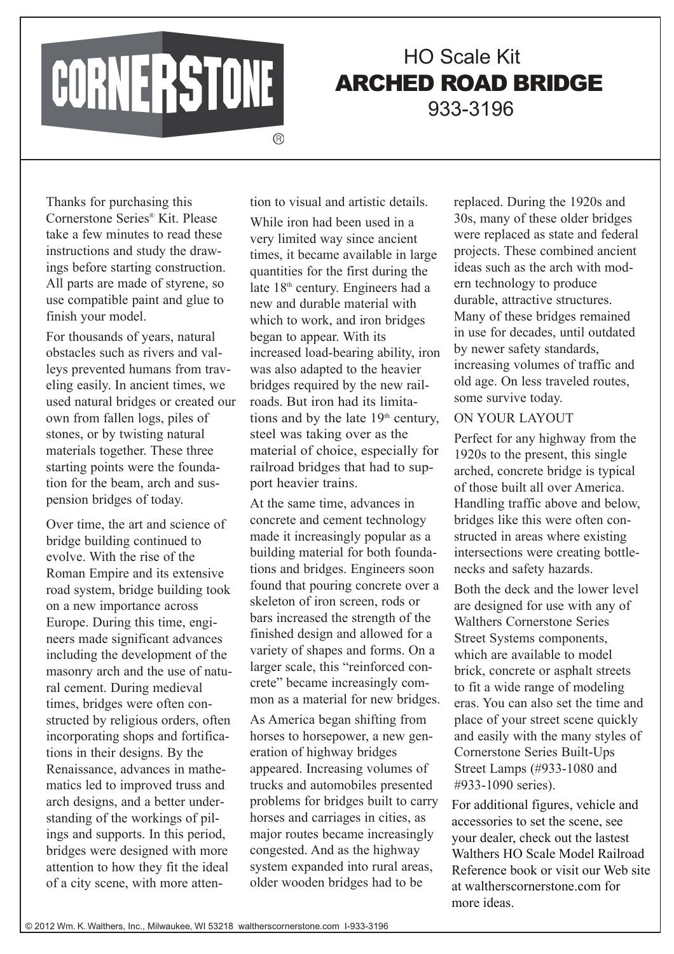CORNERSTONE

# HO Scale Kit ARCHED ROAD BRIDGE 933-3196

**A** 

Thanks for purchasing this Cornerstone Series® Kit. Please take a few minutes to read these instructions and study the drawings before starting construction. All parts are made of styrene, so use compatible paint and glue to finish your model.

For thousands of years, natural obstacles such as rivers and valleys prevented humans from traveling easily. In ancient times, we used natural bridges or created our own from fallen logs, piles of stones, or by twisting natural materials together. These three starting points were the foundation for the beam, arch and suspension bridges of today.

Over time, the art and science of bridge building continued to evolve. With the rise of the Roman Empire and its extensive road system, bridge building took on a new importance across Europe. During this time, engineers made significant advances including the development of the masonry arch and the use of natural cement. During medieval times, bridges were often constructed by religious orders, often incorporating shops and fortifications in their designs. By the Renaissance, advances in mathematics led to improved truss and arch designs, and a better understanding of the workings of pilings and supports. In this period, bridges were designed with more attention to how they fit the ideal of a city scene, with more attenWhile iron had been used in a very limited way since ancient times, it became available in large quantities for the first during the late 18<sup>th</sup> century. Engineers had a new and durable material with which to work, and iron bridges began to appear. With its increased load-bearing ability, iron was also adapted to the heavier bridges required by the new railroads. But iron had its limitations and by the late  $19<sup>th</sup>$  century, steel was taking over as the material of choice, especially for railroad bridges that had to support heavier trains.

tion to visual and artistic details.

At the same time, advances in concrete and cement technology made it increasingly popular as a building material for both foundations and bridges. Engineers soon found that pouring concrete over a skeleton of iron screen, rods or bars increased the strength of the finished design and allowed for a variety of shapes and forms. On a larger scale, this "reinforced concrete" became increasingly common as a material for new bridges.

As America began shifting from horses to horsepower, a new generation of highway bridges appeared. Increasing volumes of trucks and automobiles presented problems for bridges built to carry horses and carriages in cities, as major routes became increasingly congested. And as the highway system expanded into rural areas, older wooden bridges had to be

replaced. During the 1920s and 30s, many of these older bridges were replaced as state and federal projects. These combined ancient ideas such as the arch with modern technology to produce durable, attractive structures. Many of these bridges remained in use for decades, until outdated by newer safety standards, increasing volumes of traffic and old age. On less traveled routes, some survive today.

### ON YOUR LAYOUT

Perfect for any highway from the 1920s to the present, this single arched, concrete bridge is typical of those built all over America. Handling traffic above and below, bridges like this were often constructed in areas where existing intersections were creating bottlenecks and safety hazards.

Both the deck and the lower level are designed for use with any of Walthers Cornerstone Series Street Systems components, which are available to model brick, concrete or asphalt streets to fit a wide range of modeling eras. You can also set the time and place of your street scene quickly and easily with the many styles of Cornerstone Series Built-Ups Street Lamps (#933-1080 and #933-1090 series).

For additional figures, vehicle and accessories to set the scene, see your dealer, check out the lastest Walthers HO Scale Model Railroad Reference book or visit our Web site at waltherscornerstone.com for more ideas.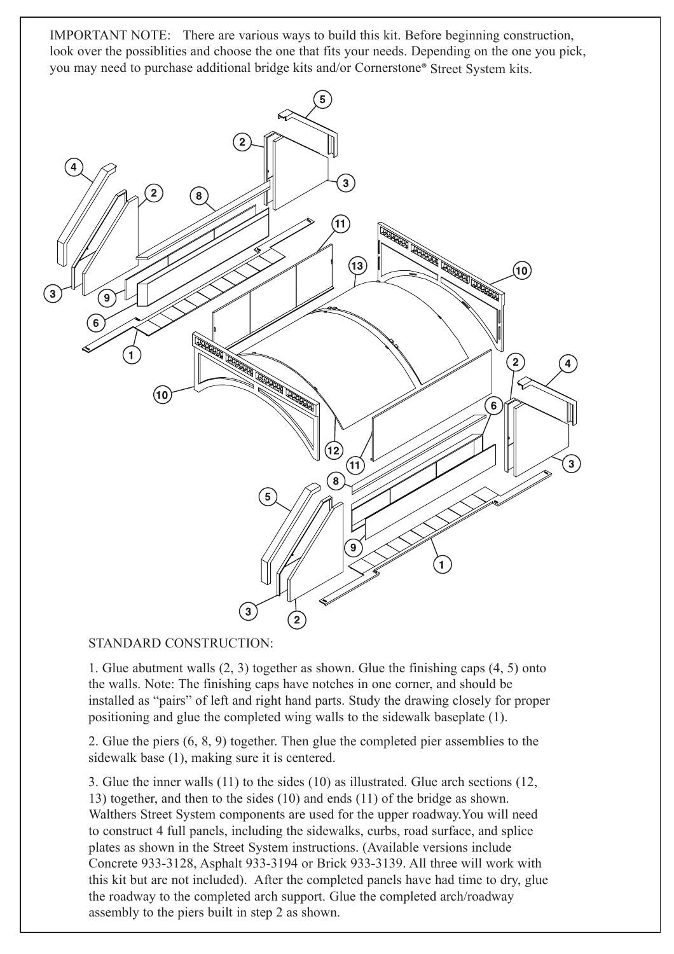IMPORTANT NOTE: There are various ways to build this kit. Before beginning construction, look over the possiblities and choose the one that fits your needs. Depending on the one you pick, you may need to purchase additional bridge kits and/or Cornerstone® Street System kits.



## STANDARD CONSTRUCTION:

1. Glue abutment walls (2, 3) together as shown. Glue the finishing caps (4, 5) onto the walls. Note: The finishing caps have notches in one corner, and should be installed as "pairs" of left and right hand parts. Study the drawing closely for proper positioning and glue the completed wing walls to the sidewalk baseplate (1).

2. Glue the piers (6, 8, 9) together. Then glue the completed pier assemblies to the sidewalk base (1), making sure it is centered.

3. Glue the inner walls (11) to the sides (10) as illustrated. Glue arch sections (12, 13) together, and then to the sides (10) and ends (11) of the bridge as shown. Walthers Street System components are used for the upper roadway.You will need to construct 4 full panels, including the sidewalks, curbs, road surface, and splice plates as shown in the Street System instructions. (Available versions include Concrete 933-3128, Asphalt 933-3194 or Brick 933-3139. All three will work with this kit but are not included). After the completed panels have had time to dry, glue the roadway to the completed arch support. Glue the completed arch/roadway assembly to the piers built in step 2 as shown.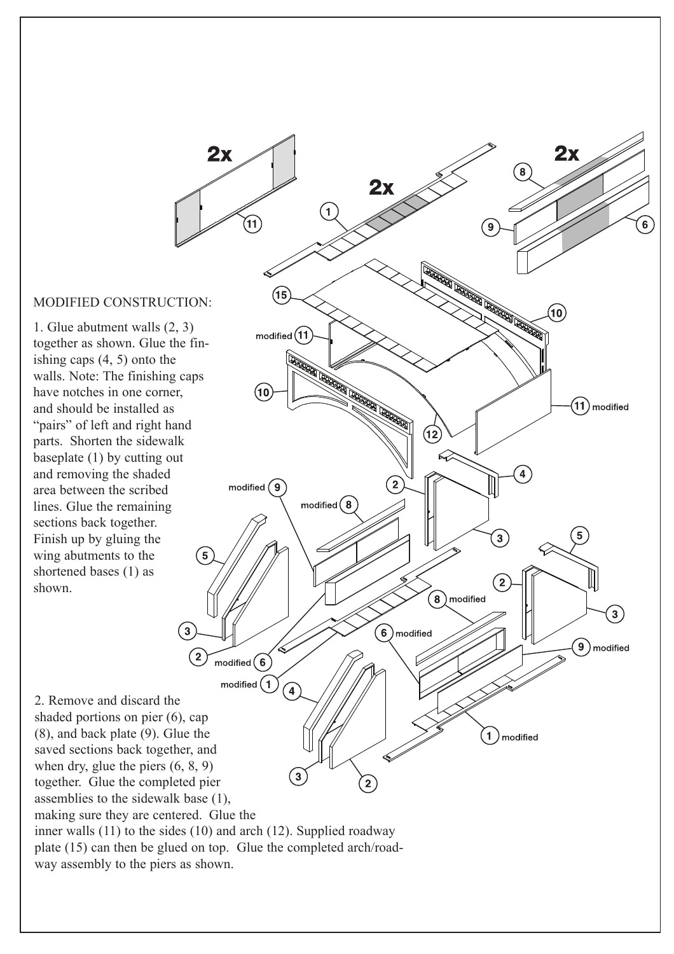### MODIFIED CONSTRUCTION:

1. Glue abutment walls (2, 3) together as shown. Glue the finishing caps (4, 5) onto the walls. Note: The finishing caps have notches in one corner, and should be installed as "pairs" of left and right hand parts. Shorten the sidewalk baseplate (1) by cutting out and removing the shaded area between the scribed lines. Glue the remaining sections back together. Finish up by gluing the wing abutments to the shortened bases (1) as shown.



making sure they are centered. Glue the

inner walls (11) to the sides (10) and arch (12). Supplied roadway plate (15) can then be glued on top. Glue the completed arch/roadway assembly to the piers as shown.